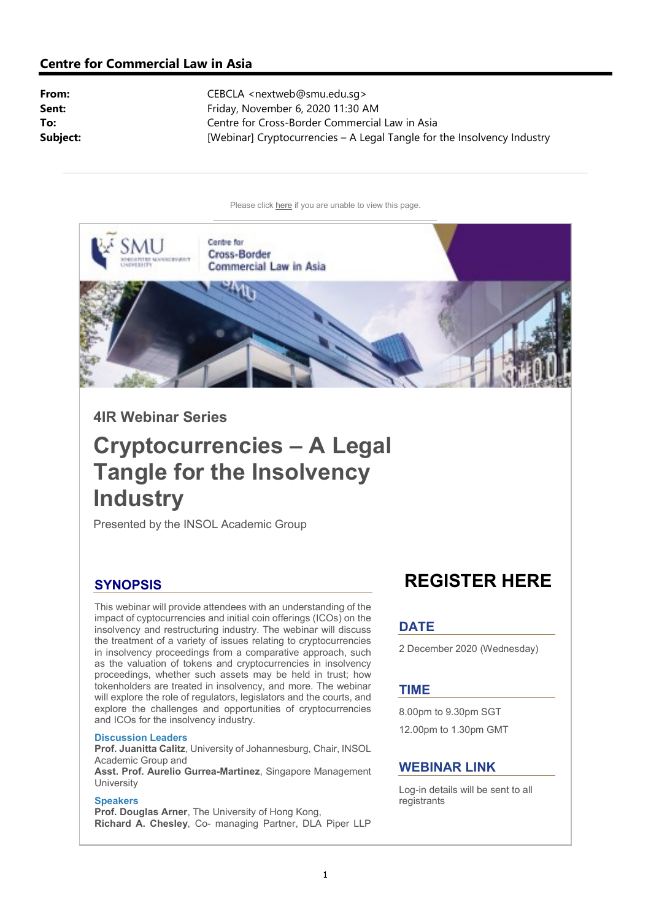## Centre for Commercial Law in Asia

From: CEBCLA <nextweb@smu.edu.sq> Sent: Friday, November 6, 2020 11:30 AM To: Centre for Cross-Border Commercial Law in Asia Subject: [Webinar] Cryptocurrencies – A Legal Tangle for the Insolvency Industry

Please click here if you are unable to view this page.



4IR Webinar Series

# Cryptocurrencies – A Legal Tangle for the Insolvency **Industry**

Presented by the INSOL Academic Group

## **SYNOPSIS**

This webinar will provide attendees with an understanding of the impact of cyptocurrencies and initial coin offerings (ICOs) on the insolvency and restructuring industry. The webinar will discuss the treatment of a variety of issues relating to cryptocurrencies in insolvency proceedings from a comparative approach, such as the valuation of tokens and cryptocurrencies in insolvency proceedings, whether such assets may be held in trust; how tokenholders are treated in insolvency, and more. The webinar will explore the role of regulators, legislators and the courts, and explore the challenges and opportunities of cryptocurrencies and ICOs for the insolvency industry.

#### Discussion Leaders

Prof. Juanitta Calitz, University of Johannesburg, Chair, INSOL Academic Group and Asst. Prof. Aurelio Gurrea-Martinez, Singapore Management

## University

#### **Speakers**

Prof. Douglas Arner, The University of Hong Kong, Richard A. Chesley, Co- managing Partner, DLA Piper LLP

## REGISTER HERE

## **DATE**

2 December 2020 (Wednesday)

#### TIME

8.00pm to 9.30pm SGT 12.00pm to 1.30pm GMT

## WEBINAR LINK

Log-in details will be sent to all registrants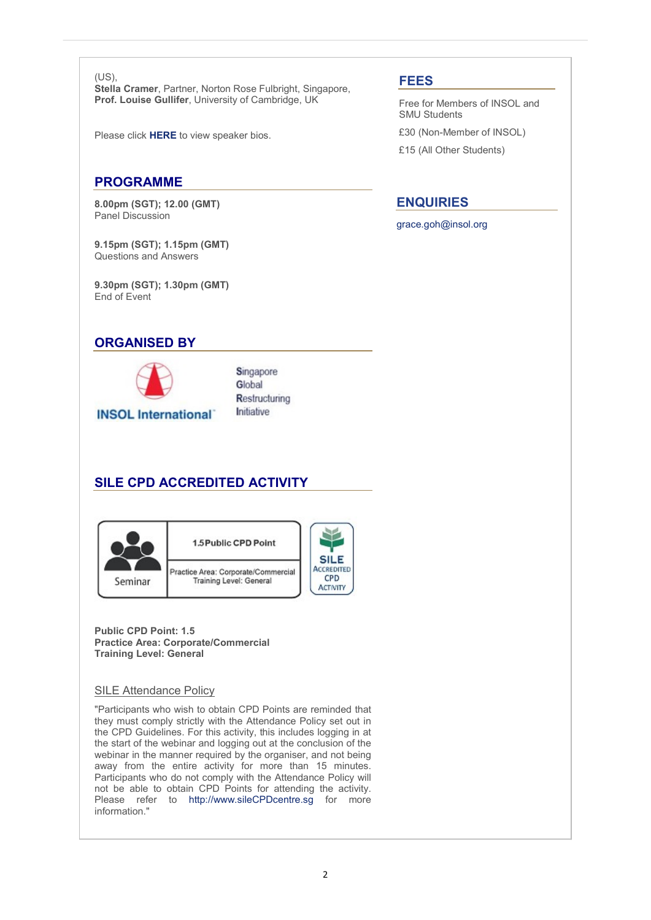(US),

Stella Cramer, Partner, Norton Rose Fulbright, Singapore, Prof. Louise Gullifer, University of Cambridge, UK

Please click HERE to view speaker bios.

## PROGRAMME

8.00pm (SGT); 12.00 (GMT) Panel Discussion

9.15pm (SGT); 1.15pm (GMT) Questions and Answers

9.30pm (SGT); 1.30pm (GMT) End of Event

## ORGANISED BY



Singapore Global Restructuring Initiative

## SILE CPD ACCREDITED ACTIVITY



Public CPD Point: 1.5 Practice Area: Corporate/Commercial Training Level: General

#### SILE Attendance Policy

"Participants who wish to obtain CPD Points are reminded that they must comply strictly with the Attendance Policy set out in the CPD Guidelines. For this activity, this includes logging in at the start of the webinar and logging out at the conclusion of the webinar in the manner required by the organiser, and not being away from the entire activity for more than 15 minutes. Participants who do not comply with the Attendance Policy will not be able to obtain CPD Points for attending the activity. Please refer to http://www.sileCPDcentre.sg for more information."

## FEES

Free for Members of INSOL and SMU Students

£30 (Non-Member of INSOL)

£15 (All Other Students)

## ENQUIRIES

grace.goh@insol.org